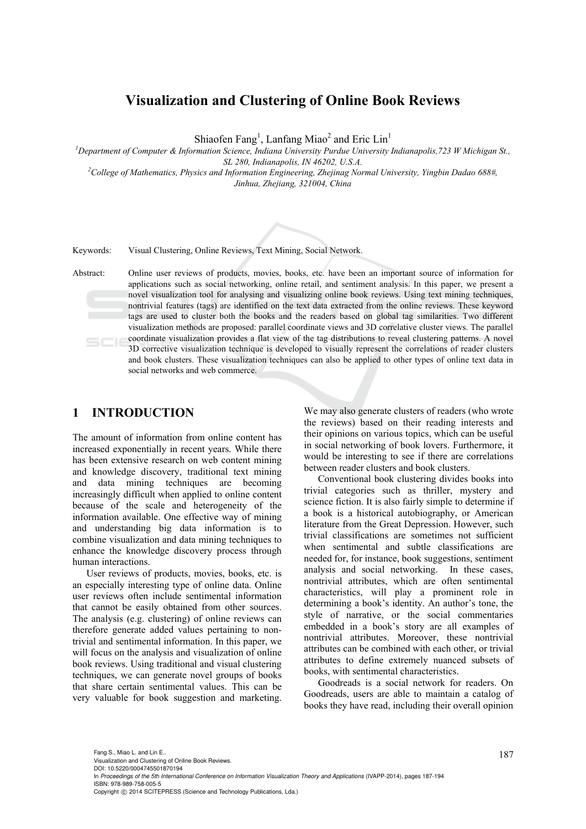## **Visualization and Clustering of Online Book Reviews**

Shiaofen Fang<sup>1</sup>, Lanfang Miao<sup>2</sup> and Eric Lin<sup>1</sup>

*1 Department of Computer & Information Science, Indiana University Purdue University Indianapolis,723 W Michigan St., SL 280, Indianapolis, IN 46202, U.S.A. 2 College of Mathematics, Physics and Information Engineering, Zhejinag Normal University, Yingbin Dadao 688#,* 

*Jinhua, Zhejiang, 321004, China* 



Abstract: Online user reviews of products, movies, books, etc. have been an important source of information for applications such as social networking, online retail, and sentiment analysis. In this paper, we present a novel visualization tool for analysing and visualizing online book reviews. Using text mining techniques, nontrivial features (tags) are identified on the text data extracted from the online reviews. These keyword tags are used to cluster both the books and the readers based on global tag similarities. Two different visualization methods are proposed: parallel coordinate views and 3D correlative cluster views. The parallel coordinate visualization provides a flat view of the tag distributions to reveal clustering patterns. A novel 3D corrective visualization technique is developed to visually represent the correlations of reader clusters and book clusters. These visualization techniques can also be applied to other types of online text data in social networks and web commerce.

### **1 INTRODUCTION**

The amount of information from online content has increased exponentially in recent years. While there has been extensive research on web content mining and knowledge discovery, traditional text mining and data mining techniques are becoming increasingly difficult when applied to online content because of the scale and heterogeneity of the information available. One effective way of mining and understanding big data information is to combine visualization and data mining techniques to enhance the knowledge discovery process through human interactions.

User reviews of products, movies, books, etc. is an especially interesting type of online data. Online user reviews often include sentimental information that cannot be easily obtained from other sources. The analysis (e.g. clustering) of online reviews can therefore generate added values pertaining to nontrivial and sentimental information. In this paper, we will focus on the analysis and visualization of online book reviews. Using traditional and visual clustering techniques, we can generate novel groups of books that share certain sentimental values. This can be very valuable for book suggestion and marketing.

We may also generate clusters of readers (who wrote the reviews) based on their reading interests and their opinions on various topics, which can be useful in social networking of book lovers. Furthermore, it would be interesting to see if there are correlations between reader clusters and book clusters.

Conventional book clustering divides books into trivial categories such as thriller, mystery and science fiction. It is also fairly simple to determine if a book is a historical autobiography, or American literature from the Great Depression. However, such trivial classifications are sometimes not sufficient when sentimental and subtle classifications are needed for, for instance, book suggestions, sentiment analysis and social networking. In these cases, nontrivial attributes, which are often sentimental characteristics, will play a prominent role in determining a book's identity. An author's tone, the style of narrative, or the social commentaries embedded in a book's story are all examples of nontrivial attributes. Moreover, these nontrivial attributes can be combined with each other, or trivial attributes to define extremely nuanced subsets of books, with sentimental characteristics.

Goodreads is a social network for readers. On Goodreads, users are able to maintain a catalog of books they have read, including their overall opinion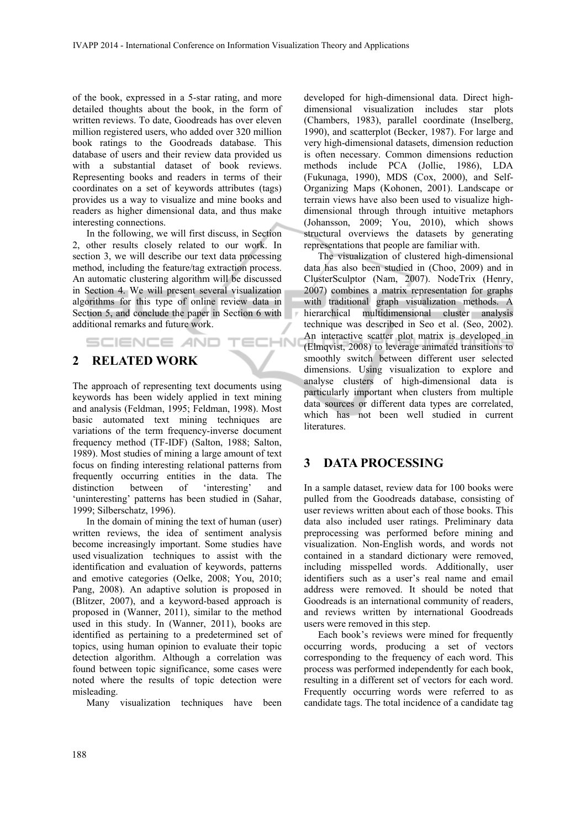ECHN

of the book, expressed in a 5-star rating, and more detailed thoughts about the book, in the form of written reviews. To date, Goodreads has over eleven million registered users, who added over 320 million book ratings to the Goodreads database. This database of users and their review data provided us with a substantial dataset of book reviews. Representing books and readers in terms of their coordinates on a set of keywords attributes (tags) provides us a way to visualize and mine books and readers as higher dimensional data, and thus make interesting connections.

In the following, we will first discuss, in Section 2, other results closely related to our work. In section 3, we will describe our text data processing method, including the feature/tag extraction process. An automatic clustering algorithm will be discussed in Section 4. We will present several visualization algorithms for this type of online review data in Section 5, and conclude the paper in Section 6 with additional remarks and future work.

## **2 RELATED WORK**

**SCIENCE AND** 

The approach of representing text documents using keywords has been widely applied in text mining and analysis (Feldman, 1995; Feldman, 1998). Most basic automated text mining techniques are variations of the term frequency-inverse document frequency method (TF-IDF) (Salton, 1988; Salton, 1989). Most studies of mining a large amount of text focus on finding interesting relational patterns from frequently occurring entities in the data. The distinction between of 'interesting' and 'uninteresting' patterns has been studied in (Sahar, 1999; Silberschatz, 1996).

In the domain of mining the text of human (user) written reviews, the idea of sentiment analysis become increasingly important. Some studies have used visualization techniques to assist with the identification and evaluation of keywords, patterns and emotive categories (Oelke, 2008; You, 2010; Pang, 2008). An adaptive solution is proposed in (Blitzer, 2007), and a keyword-based approach is proposed in (Wanner, 2011), similar to the method used in this study. In (Wanner, 2011), books are identified as pertaining to a predetermined set of topics, using human opinion to evaluate their topic detection algorithm. Although a correlation was found between topic significance, some cases were noted where the results of topic detection were misleading.

Many visualization techniques have been

developed for high-dimensional data. Direct highdimensional visualization includes star plots (Chambers, 1983), parallel coordinate (Inselberg, 1990), and scatterplot (Becker, 1987). For large and very high-dimensional datasets, dimension reduction is often necessary. Common dimensions reduction methods include PCA (Jollie, 1986), LDA (Fukunaga, 1990), MDS (Cox, 2000), and Self-Organizing Maps (Kohonen, 2001). Landscape or terrain views have also been used to visualize highdimensional through through intuitive metaphors (Johansson, 2009; You, 2010), which shows structural overviews the datasets by generating representations that people are familiar with.

The visualization of clustered high-dimensional data has also been studied in (Choo, 2009) and in ClusterSculptor (Nam, 2007). NodeTrix (Henry, 2007) combines a matrix representation for graphs with traditional graph visualization methods. A hierarchical multidimensional cluster analysis technique was described in Seo et al. (Seo, 2002). An interactive scatter plot matrix is developed in (Elmqvist, 2008) to leverage animated transitions to smoothly switch between different user selected dimensions. Using visualization to explore and analyse clusters of high-dimensional data is particularly important when clusters from multiple data sources or different data types are correlated, which has not been well studied in current literatures.

### **3 DATA PROCESSING**

In a sample dataset, review data for 100 books were pulled from the Goodreads database, consisting of user reviews written about each of those books. This data also included user ratings. Preliminary data preprocessing was performed before mining and visualization. Non-English words, and words not contained in a standard dictionary were removed, including misspelled words. Additionally, user identifiers such as a user's real name and email address were removed. It should be noted that Goodreads is an international community of readers, and reviews written by international Goodreads users were removed in this step.

Each book's reviews were mined for frequently occurring words, producing a set of vectors corresponding to the frequency of each word. This process was performed independently for each book, resulting in a different set of vectors for each word. Frequently occurring words were referred to as candidate tags. The total incidence of a candidate tag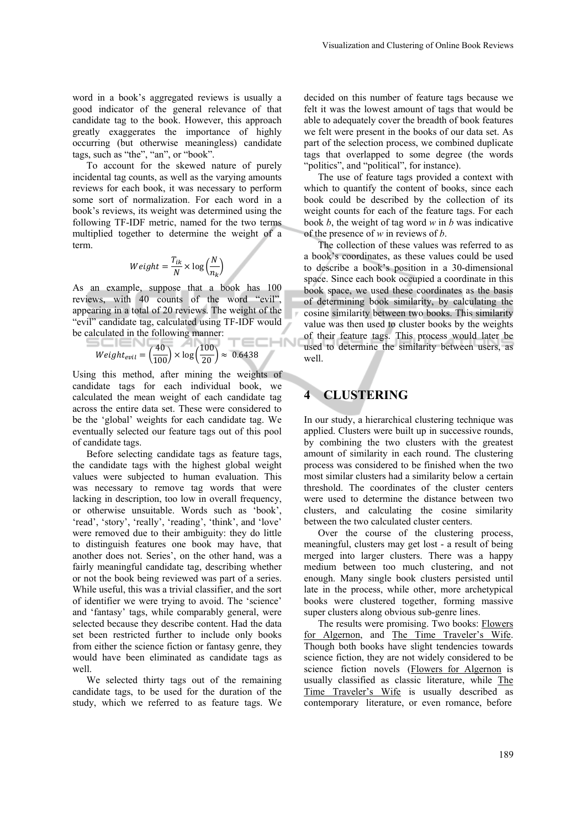word in a book's aggregated reviews is usually a good indicator of the general relevance of that candidate tag to the book. However, this approach greatly exaggerates the importance of highly occurring (but otherwise meaningless) candidate tags, such as "the", "an", or "book".

To account for the skewed nature of purely incidental tag counts, as well as the varying amounts reviews for each book, it was necessary to perform some sort of normalization. For each word in a book's reviews, its weight was determined using the following TF-IDF metric, named for the two terms multiplied together to determine the weight of a term.

$$
Weight = \frac{T_{ik}}{N} \times \log\left(\frac{N}{n_k}\right)
$$

As an example, suppose that a book has 100 reviews, with 40 counts of the word "evil", appearing in a total of 20 reviews. The weight of the "evil" candidate tag, calculated using TF-IDF would be calculated in the following manner: **CHN** 

$$
Weight_{evil} = \left(\frac{40}{100}\right) \times \log\left(\frac{100}{20}\right) \approx 0.6438
$$

Using this method, after mining the weights of candidate tags for each individual book, we calculated the mean weight of each candidate tag across the entire data set. These were considered to be the 'global' weights for each candidate tag. We eventually selected our feature tags out of this pool of candidate tags.

Before selecting candidate tags as feature tags, the candidate tags with the highest global weight values were subjected to human evaluation. This was necessary to remove tag words that were lacking in description, too low in overall frequency, or otherwise unsuitable. Words such as 'book', 'read', 'story', 'really', 'reading', 'think', and 'love' were removed due to their ambiguity: they do little to distinguish features one book may have, that another does not. Series', on the other hand, was a fairly meaningful candidate tag, describing whether or not the book being reviewed was part of a series. While useful, this was a trivial classifier, and the sort of identifier we were trying to avoid. The 'science' and 'fantasy' tags, while comparably general, were selected because they describe content. Had the data set been restricted further to include only books from either the science fiction or fantasy genre, they would have been eliminated as candidate tags as well.

We selected thirty tags out of the remaining candidate tags, to be used for the duration of the study, which we referred to as feature tags. We decided on this number of feature tags because we felt it was the lowest amount of tags that would be able to adequately cover the breadth of book features we felt were present in the books of our data set. As part of the selection process, we combined duplicate tags that overlapped to some degree (the words "politics", and "political", for instance).

The use of feature tags provided a context with which to quantify the content of books, since each book could be described by the collection of its weight counts for each of the feature tags. For each book *b*, the weight of tag word *w* in *b* was indicative of the presence of *w* in reviews of *b*.

The collection of these values was referred to as a book's coordinates, as these values could be used to describe a book's position in a 30-dimensional space. Since each book occupied a coordinate in this book space, we used these coordinates as the basis of determining book similarity, by calculating the cosine similarity between two books. This similarity value was then used to cluster books by the weights of their feature tags. This process would later be used to determine the similarity between users, as well.

### **4 CLUSTERING**

In our study, a hierarchical clustering technique was applied. Clusters were built up in successive rounds, by combining the two clusters with the greatest amount of similarity in each round. The clustering process was considered to be finished when the two most similar clusters had a similarity below a certain threshold. The coordinates of the cluster centers were used to determine the distance between two clusters, and calculating the cosine similarity between the two calculated cluster centers.

Over the course of the clustering process, meaningful, clusters may get lost - a result of being merged into larger clusters. There was a happy medium between too much clustering, and not enough. Many single book clusters persisted until late in the process, while other, more archetypical books were clustered together, forming massive super clusters along obvious sub-genre lines.

The results were promising. Two books: Flowers for Algernon, and The Time Traveler's Wife. Though both books have slight tendencies towards science fiction, they are not widely considered to be science fiction novels (Flowers for Algernon is usually classified as classic literature, while The Time Traveler's Wife is usually described as contemporary literature, or even romance, before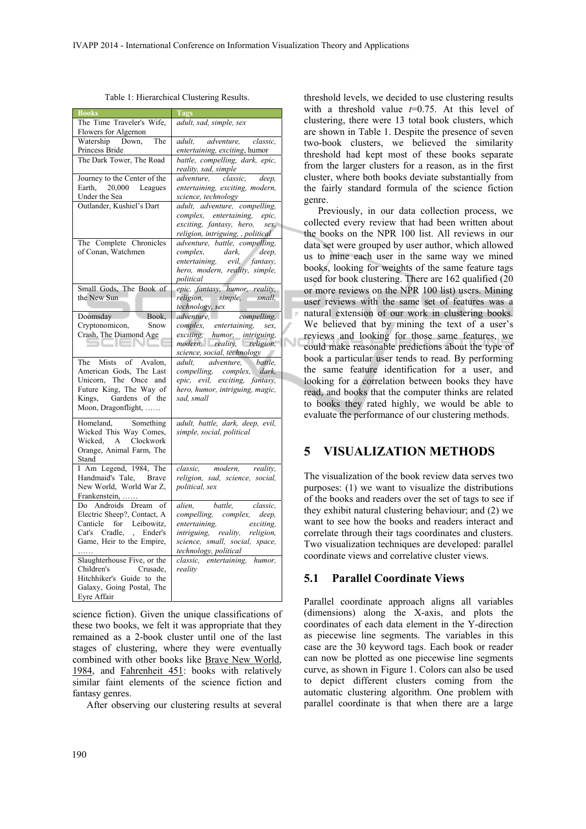| <b>Books</b>                                           | Tags                                                                  |  |
|--------------------------------------------------------|-----------------------------------------------------------------------|--|
| The Time Traveler's Wife,<br>Flowers for Algernon      | adult, sad, simple, sex                                               |  |
| Watership<br>Down.<br>The                              | adult.<br>adventure,<br>classic.                                      |  |
| Princess Bride                                         | entertaining, exciting, humor                                         |  |
| The Dark Tower, The Road                               | battle, compelling, dark, epic,<br>reality, sad, simple               |  |
| Journey to the Center of the                           | adventure, classic,<br>deep,                                          |  |
| 20,000 Leagues<br>Earth,                               | entertaining, exciting, modern,                                       |  |
| Under the Sea                                          | science, technology                                                   |  |
| Outlander, Kushiel's Dart                              | adult, adventure, compelling,                                         |  |
|                                                        | complex, entertaining, epic,                                          |  |
|                                                        | exciting, fantasy, hero,<br>sex,<br>religion, intriguing, , political |  |
| The Complete Chronicles                                | adventure, battle, compelling,                                        |  |
| of Conan, Watchmen                                     | complex,<br>dark,<br>deep,                                            |  |
|                                                        | entertaining, evil, fantasy,                                          |  |
|                                                        | hero, modern, reality, simple,                                        |  |
|                                                        | political                                                             |  |
| Small Gods, The Book of                                | epic, fantasy, humor, reality,                                        |  |
| the New Sun                                            | religion, simple,<br>small,                                           |  |
| Book,<br>Doomsday                                      | technology, sex<br>compelling,<br>adventure,                          |  |
| Cryptonomicon,<br>Snow                                 |                                                                       |  |
| Crash, The Diamond Age                                 | complex, entertaining, sex,<br>exciting, humor, intriguing,           |  |
| ا صا ب                                                 | modern, reality, religion,                                            |  |
|                                                        | science, social, technology                                           |  |
| The Mists of Avalon,                                   | adult, adventure,<br>battle,                                          |  |
| American Gods, The Last                                | compelling, complex, dark,                                            |  |
| Unicorn, The Once and<br>Future King, The Way of       | epic, evil, exciting, fantasy,                                        |  |
| Kings, Gardens of the                                  | hero, humor, intriguing, magic,<br>sad. small                         |  |
| Moon, Dragonflight,                                    |                                                                       |  |
|                                                        |                                                                       |  |
| Homeland,<br>Something                                 | adult, battle, dark, deep, evil,                                      |  |
| Wicked This Way Comes,<br>Wicked, A<br>Clockwork       | simple, social, political                                             |  |
| Orange, Animal Farm, The                               |                                                                       |  |
| Stand                                                  |                                                                       |  |
| I Am Legend, 1984, The                                 | classic, modern,<br>reality,                                          |  |
| Handmaid's Tale,<br><b>Brave</b>                       | religion, sad, science, social,                                       |  |
| New World, World War Z,                                | political, sex                                                        |  |
| Frankenstein,                                          |                                                                       |  |
| Do Androids Dream<br>of                                | alien,<br>battle,<br>classic,                                         |  |
| Electric Sheep?, Contact, A<br>Canticle for Leibowitz, | compelling, complex, deep,<br>entertaining,<br>exciting,              |  |
| Cat's Cradle, , Ender's                                | intriguing, reality,<br>religion,                                     |  |
| Game, Heir to the Empire,                              | science, small, social, space,                                        |  |
|                                                        | technology, political                                                 |  |
| Slaughterhouse Five, or the                            | classic, entertaining, humor,                                         |  |
| Children's<br>Crusade,                                 | reality                                                               |  |
| Hitchhiker's Guide to the                              |                                                                       |  |
|                                                        |                                                                       |  |
| Galaxy, Going Postal, The<br>Eyre Affair               |                                                                       |  |

Table 1: Hierarchical Clustering Results.

science fiction). Given the unique classifications of these two books, we felt it was appropriate that they remained as a 2-book cluster until one of the last stages of clustering, where they were eventually combined with other books like Brave New World, 1984, and Fahrenheit 451: books with relatively similar faint elements of the science fiction and fantasy genres.

After observing our clustering results at several

threshold levels, we decided to use clustering results with a threshold value  $t=0.75$ . At this level of clustering, there were 13 total book clusters, which are shown in Table 1. Despite the presence of seven two-book clusters, we believed the similarity threshold had kept most of these books separate from the larger clusters for a reason, as in the first cluster, where both books deviate substantially from the fairly standard formula of the science fiction genre.

Previously, in our data collection process, we collected every review that had been written about the books on the NPR 100 list. All reviews in our data set were grouped by user author, which allowed us to mine each user in the same way we mined books, looking for weights of the same feature tags used for book clustering. There are 162 qualified (20 or more reviews on the NPR 100 list) users. Mining user reviews with the same set of features was a natural extension of our work in clustering books. We believed that by mining the text of a user's reviews and looking for those same features, we could make reasonable predictions about the type of book a particular user tends to read. By performing the same feature identification for a user, and looking for a correlation between books they have read, and books that the computer thinks are related to books they rated highly, we would be able to evaluate the performance of our clustering methods.

### **5 VISUALIZATION METHODS**

The visualization of the book review data serves two purposes: (1) we want to visualize the distributions of the books and readers over the set of tags to see if they exhibit natural clustering behaviour; and (2) we want to see how the books and readers interact and correlate through their tags coordinates and clusters. Two visualization techniques are developed: parallel coordinate views and correlative cluster views.

#### **5.1 Parallel Coordinate Views**

Parallel coordinate approach aligns all variables (dimensions) along the X-axis, and plots the coordinates of each data element in the Y-direction as piecewise line segments. The variables in this case are the 30 keyword tags. Each book or reader can now be plotted as one piecewise line segments curve, as shown in Figure 1. Colors can also be used to depict different clusters coming from the automatic clustering algorithm. One problem with parallel coordinate is that when there are a large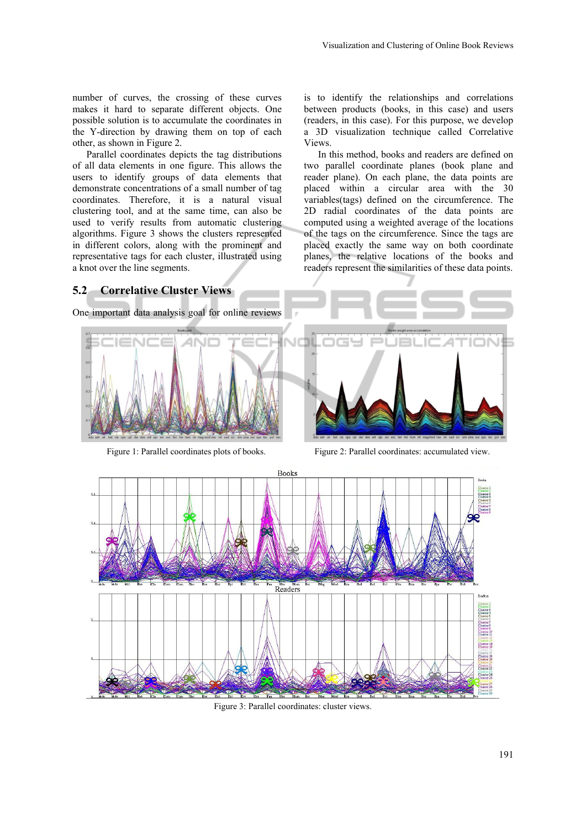number of curves, the crossing of these curves makes it hard to separate different objects. One possible solution is to accumulate the coordinates in the Y-direction by drawing them on top of each other, as shown in Figure 2.

Parallel coordinates depicts the tag distributions of all data elements in one figure. This allows the users to identify groups of data elements that demonstrate concentrations of a small number of tag coordinates. Therefore, it is a natural visual clustering tool, and at the same time, can also be used to verify results from automatic clustering algorithms. Figure 3 shows the clusters represented in different colors, along with the prominent and representative tags for each cluster, illustrated using a knot over the line segments.

is to identify the relationships and correlations between products (books, in this case) and users (readers, in this case). For this purpose, we develop a 3D visualization technique called Correlative Views.

In this method, books and readers are defined on two parallel coordinate planes (book plane and reader plane). On each plane, the data points are placed within a circular area with the 30 variables(tags) defined on the circumference. The 2D radial coordinates of the data points are computed using a weighted average of the locations of the tags on the circumference. Since the tags are placed exactly the same way on both coordinate planes, the relative locations of the books and readers represent the similarities of these data points.

#### **5.2 Correlative Cluster Views**

One important data analysis goal for online reviews





Figure 1: Parallel coordinates plots of books. Figure 2: Parallel coordinates: accumulated view.



Figure 3: Parallel coordinates: cluster views.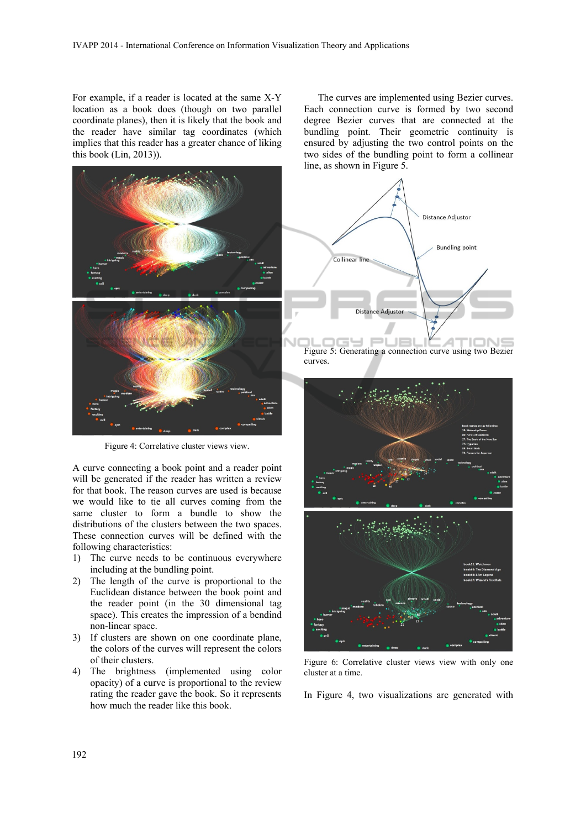For example, if a reader is located at the same X-Y location as a book does (though on two parallel coordinate planes), then it is likely that the book and the reader have similar tag coordinates (which implies that this reader has a greater chance of liking this book (Lin, 2013)).



Figure 4: Correlative cluster views view.

A curve connecting a book point and a reader point will be generated if the reader has written a review for that book. The reason curves are used is because we would like to tie all curves coming from the same cluster to form a bundle to show the distributions of the clusters between the two spaces. These connection curves will be defined with the following characteristics:

- 1) The curve needs to be continuous everywhere including at the bundling point.
- 2) The length of the curve is proportional to the Euclidean distance between the book point and the reader point (in the 30 dimensional tag space). This creates the impression of a bendind non-linear space.
- 3) If clusters are shown on one coordinate plane, the colors of the curves will represent the colors of their clusters.
- 4) The brightness (implemented using color opacity) of a curve is proportional to the review rating the reader gave the book. So it represents how much the reader like this book.

The curves are implemented using Bezier curves. Each connection curve is formed by two second degree Bezier curves that are connected at the bundling point. Their geometric continuity is ensured by adjusting the two control points on the two sides of the bundling point to form a collinear line, as shown in Figure 5.





Figure 6: Correlative cluster views view with only one cluster at a time.

In Figure 4, two visualizations are generated with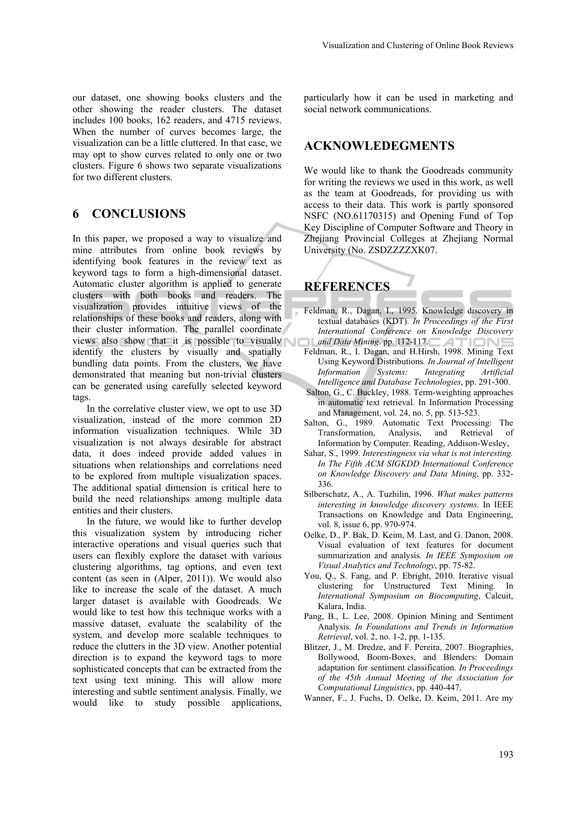our dataset, one showing books clusters and the other showing the reader clusters. The dataset includes 100 books, 162 readers, and 4715 reviews. When the number of curves becomes large, the visualization can be a little cluttered. In that case, we may opt to show curves related to only one or two clusters. Figure 6 shows two separate visualizations for two different clusters.

### **6 CONCLUSIONS**

In this paper, we proposed a way to visualize and mine attributes from online book reviews by identifying book features in the review text as keyword tags to form a high-dimensional dataset. Automatic cluster algorithm is applied to generate clusters with both books and readers. The visualization provides intuitive views of the relationships of these books and readers, along with their cluster information. The parallel coordinate views also show that it is possible to visually identify the clusters by visually and spatially bundling data points. From the clusters, we have demonstrated that meaning but non-trivial clusters can be generated using carefully selected keyword tags.

In the correlative cluster view, we opt to use 3D visualization, instead of the more common 2D information visualization techniques. While 3D visualization is not always desirable for abstract data, it does indeed provide added values in situations when relationships and correlations need to be explored from multiple visualization spaces. The additional spatial dimension is critical here to build the need relationships among multiple data entities and their clusters.

In the future, we would like to further develop this visualization system by introducing richer interactive operations and visual queries such that users can flexibly explore the dataset with various clustering algorithms, tag options, and even text content (as seen in (Alper, 2011)). We would also like to increase the scale of the dataset. A much larger dataset is available with Goodreads. We would like to test how this technique works with a massive dataset, evaluate the scalability of the system, and develop more scalable techniques to reduce the clutters in the 3D view. Another potential direction is to expand the keyword tags to more sophisticated concepts that can be extracted from the text using text mining. This will allow more interesting and subtle sentiment analysis. Finally, we would like to study possible applications,

particularly how it can be used in marketing and social network communications.

### **ACKNOWLEDEGMENTS**

We would like to thank the Goodreads community for writing the reviews we used in this work, as well as the team at Goodreads, for providing us with access to their data. This work is partly sponsored NSFC (NO.61170315) and Opening Fund of Top Key Discipline of Computer Software and Theory in Zhejiang Provincial Colleges at Zhejiang Normal University (No. ZSDZZZZXK07.

# **REFERENCES**

- Feldman, R., Dagan, I., 1995. Knowledge discovery in textual databases (KDT). *In Proceedings of the First International Conference on Knowledge Discovery and Data Mining*. pp. 112-117. ור
- Feldman, R., I. Dagan, and H.Hirsh, 1998. Mining Text Using Keyword Distributions*. In Journal of Intelligent Information Systems: Integrating Artificial Intelligence and Database Technologies*, pp. 291-300.
- Salton, G., C. Buckley, 1988. Term-weighting approaches in automatic text retrieval. In Information Processing and Management, vol. 24, no. 5, pp. 513-523.
- Salton, G., 1989. Automatic Text Processing: The Transformation, Analysis, and Retrieval of Information by Computer. Reading, Addison-Wesley,
- Sahar, S., 1999. *Interestingness via what is not interesting. In The Fifth ACM SIGKDD International Conference on Knowledge Discovery and Data Mining*, pp. 332- 336.
- Silberschatz, A., A. Tuzhilin, 1996. *What makes patterns interesting in knowledge discovery systems*. In IEEE Transactions on Knowledge and Data Engineering, vol. 8, issue 6, pp. 970-974.
- Oelke, D., P. Bak, D. Keim, M. Last, and G. Danon, 2008. Visual evaluation of text features for document summarization and analysis*. In IEEE Symposium on Visual Analytics and Technology*, pp. 75-82.
- You, Q., S. Fang, and P. Ebright, 2010. Iterative visual clustering for Unstructured Text Mining. In *International Symposium on Biocomputing*, Calcuit, Kalara, India.
- Pang, B., L. Lee, 2008. Opinion Mining and Sentiment Analysis. *In Foundations and Trends in Information Retrieval*, vol. 2, no. 1-2, pp. 1-135.
- Blitzer, J., M. Dredze, and F. Pereira, 2007. Biographies, Bollywood, Boom-Boxes, and Blenders: Domain adaptation for sentiment classification. *In Proceedings of the 45th Annual Meeting of the Association for Computational Linguistics*, pp. 440-447.
- Wanner, F., J. Fuchs, D. Oelke, D. Keim, 2011. Are my